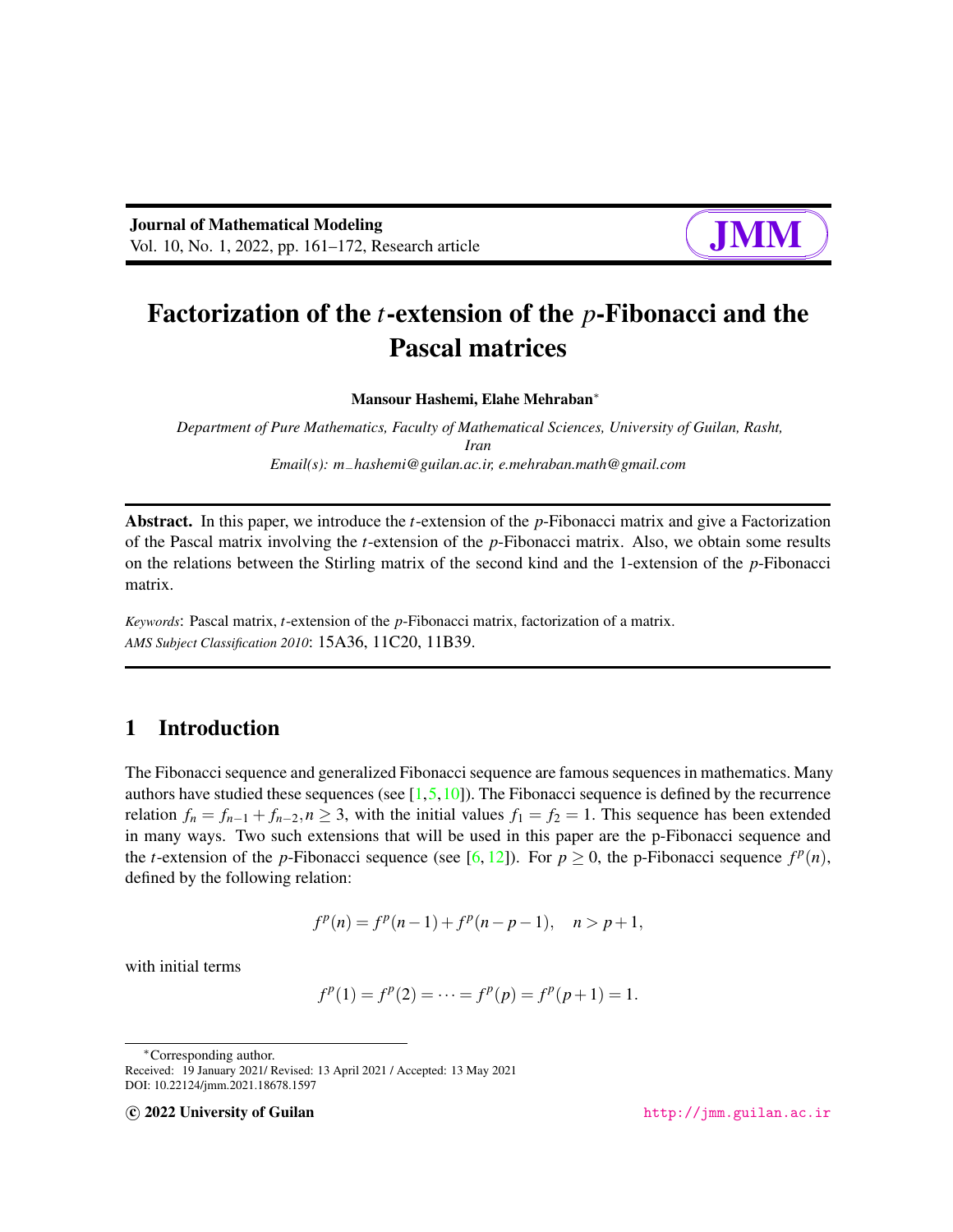

# Factorization of the *t*-extension of the *p*-Fibonacci and the Pascal matrices

#### Mansour Hashemi, Elahe Mehraban<sup>∗</sup>

*Department of Pure Mathematics, Faculty of Mathematical Sciences, University of Guilan, Rasht, Iran Email(s): m*−*hashemi@guilan.ac.ir, e.mehraban.math@gmail.com*

Abstract. In this paper, we introduce the *t*-extension of the *p*-Fibonacci matrix and give a Factorization of the Pascal matrix involving the *t*-extension of the *p*-Fibonacci matrix. Also, we obtain some results on the relations between the Stirling matrix of the second kind and the 1-extension of the *p*-Fibonacci matrix.

*Keywords*: Pascal matrix, *t*-extension of the *p*-Fibonacci matrix, factorization of a matrix. *AMS Subject Classification 2010*: 15A36, 11C20, 11B39.

### 1 Introduction

The Fibonacci sequence and generalized Fibonacci sequence are famous sequences in mathematics. Many authors have studied these sequences (see  $[1,5,10]$  $[1,5,10]$  $[1,5,10]$ ). The Fibonacci sequence is defined by the recurrence relation  $f_n = f_{n-1} + f_{n-2}$ ,  $n \geq 3$ , with the initial values  $f_1 = f_2 = 1$ . This sequence has been extended in many ways. Two such extensions that will be used in this paper are the p-Fibonacci sequence and the *t*-extension of the *p*-Fibonacci sequence (see [\[6,](#page-11-3) [12\]](#page-11-4)). For  $p \ge 0$ , the p-Fibonacci sequence  $f^p(n)$ , defined by the following relation:

$$
f^{p}(n) = f^{p}(n-1) + f^{p}(n-p-1), \quad n > p+1,
$$

with initial terms

$$
f^{p}(1) = f^{p}(2) = \dots = f^{p}(p) = f^{p}(p+1) = 1.
$$

<sup>∗</sup>Corresponding author.

Received: 19 January 2021/ Revised: 13 April 2021 / Accepted: 13 May 2021 DOI: 10.22124/jmm.2021.18678.1597

c 2022 University of Guilan <http://jmm.guilan.ac.ir>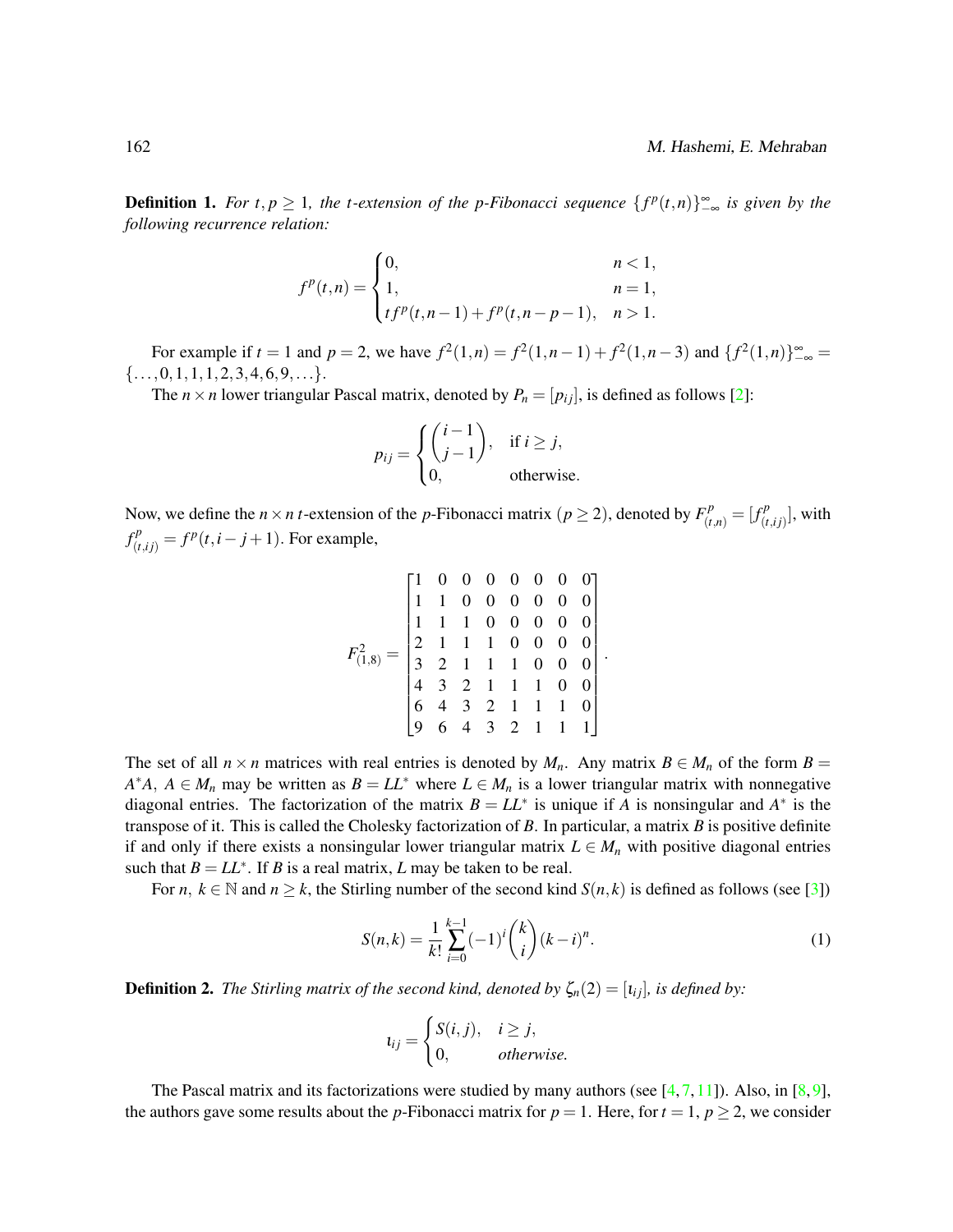<span id="page-1-0"></span>**Definition 1.** For  $t, p \ge 1$ , the t-extension of the p-Fibonacci sequence  $\{f^p(t,n)\}_{-\infty}^{\infty}$  is given by the *following recurrence relation:*

$$
f^{p}(t,n) = \begin{cases} 0, & n < 1, \\ 1, & n = 1, \\ tf^{p}(t,n-1) + f^{p}(t,n-p-1), & n > 1. \end{cases}
$$

For example if  $t = 1$  and  $p = 2$ , we have  $f^2(1, n) = f^2(1, n-1) + f^2(1, n-3)$  and  $\{f^2(1, n)\}_{-\infty}^{\infty} =$  $\{\ldots,0,1,1,1,2,3,4,6,9,\ldots\}.$ 

The *n* × *n* lower triangular Pascal matrix, denoted by  $P_n = [p_{ij}]$ , is defined as follows [\[2\]](#page-11-5):

$$
p_{ij} = \begin{cases} \binom{i-1}{j-1}, & \text{if } i \geq j, \\ 0, & \text{otherwise.} \end{cases}
$$

Now, we define the  $n \times n$  *t*-extension of the *p*-Fibonacci matrix  $(p \ge 2)$ , denoted by  $F_{(t,n)}^p = [f_{(t+n)}^p]$  $_{(t,ij)}^{cP}$ ], with  $f^p_{(t,ij)} = f^p(t, i - j + 1)$ . For example,

$$
F_{(1,8)}^2 = \begin{bmatrix} 1 & 0 & 0 & 0 & 0 & 0 & 0 & 0 \\ 1 & 1 & 0 & 0 & 0 & 0 & 0 & 0 \\ 1 & 1 & 1 & 0 & 0 & 0 & 0 & 0 \\ 2 & 1 & 1 & 1 & 0 & 0 & 0 & 0 \\ 3 & 2 & 1 & 1 & 1 & 0 & 0 & 0 \\ 4 & 3 & 2 & 1 & 1 & 1 & 0 & 0 \\ 6 & 4 & 3 & 2 & 1 & 1 & 1 & 0 \\ 9 & 6 & 4 & 3 & 2 & 1 & 1 & 1 \end{bmatrix}
$$

The set of all  $n \times n$  matrices with real entries is denoted by  $M_n$ . Any matrix  $B \in M_n$  of the form  $B =$  $A^*A$ ,  $A \in M_n$  may be written as  $B = LL^*$  where  $L \in M_n$  is a lower triangular matrix with nonnegative diagonal entries. The factorization of the matrix  $B = LL^*$  is unique if *A* is nonsingular and  $A^*$  is the transpose of it. This is called the Cholesky factorization of *B*. In particular, a matrix *B* is positive definite if and only if there exists a nonsingular lower triangular matrix  $L \in M_n$  with positive diagonal entries such that  $B = LL^*$ . If *B* is a real matrix, *L* may be taken to be real.

For *n*,  $k \in \mathbb{N}$  and  $n \geq k$ , the Stirling number of the second kind  $S(n, k)$  is defined as follows (see [\[3\]](#page-11-6))

<span id="page-1-1"></span>
$$
S(n,k) = \frac{1}{k!} \sum_{i=0}^{k-1} (-1)^i {k \choose i} (k-i)^n.
$$
 (1)

.

**Definition 2.** *The Stirling matrix of the second kind, denoted by*  $\zeta_n(2) = [i_{ij}]$ *, is defined by:* 

$$
t_{ij} = \begin{cases} S(i,j), & i \geq j, \\ 0, & otherwise. \end{cases}
$$

The Pascal matrix and its factorizations were studied by many authors (see  $[4,7,11]$  $[4,7,11]$  $[4,7,11]$ ). Also, in  $[8,9]$  $[8,9]$ , the authors gave some results about the *p*-Fibonacci matrix for  $p = 1$ . Here, for  $t = 1$ ,  $p \ge 2$ , we consider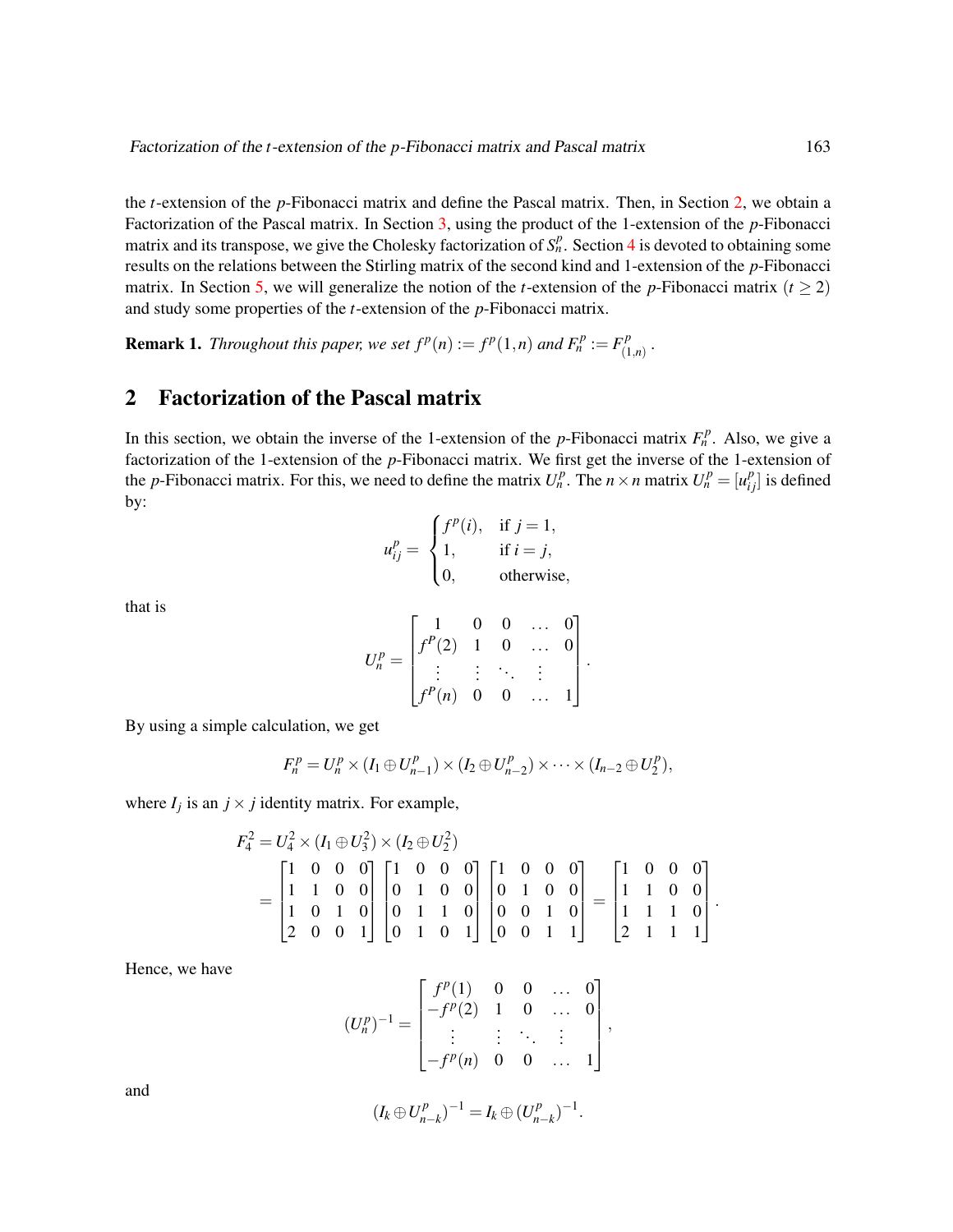the *t*-extension of the *p*-Fibonacci matrix and define the Pascal matrix. Then, in Section [2,](#page-2-0) we obtain a Factorization of the Pascal matrix. In Section [3,](#page-5-0) using the product of the 1-extension of the *p*-Fibonacci matrix and its transpose, we give the Cholesky factorization of  $S_n^p$ . Section [4](#page-7-0) is devoted to obtaining some results on the relations between the Stirling matrix of the second kind and 1-extension of the *p*-Fibonacci matrix. In Section [5,](#page-9-0) we will generalize the notion of the *t*-extension of the *p*-Fibonacci matrix ( $t \ge 2$ ) and study some properties of the *t*-extension of the *p*-Fibonacci matrix.

**Remark 1.** *Throughout this paper, we set*  $f^p(n) := f^p(1,n)$  *and*  $F_n^p := F_{(1)}^p$ (1,*n*) *.*

#### <span id="page-2-0"></span>2 Factorization of the Pascal matrix

In this section, we obtain the inverse of the 1-extension of the *p*-Fibonacci matrix  $F_n^p$ . Also, we give a factorization of the 1-extension of the *p*-Fibonacci matrix. We first get the inverse of the 1-extension of the *p*-Fibonacci matrix. For this, we need to define the matrix  $U_n^p$ . The  $n \times n$  matrix  $U_n^p = [u_{ij}^p]$  is defined by:

$$
u_{ij}^{p} = \begin{cases} f^{p}(i), & \text{if } j = 1, \\ 1, & \text{if } i = j, \\ 0, & \text{otherwise,} \end{cases}
$$

that is

$$
U_n^p = \begin{bmatrix} 1 & 0 & 0 & \dots & 0 \\ f^P(2) & 1 & 0 & \dots & 0 \\ \vdots & \vdots & \ddots & \vdots \\ f^P(n) & 0 & 0 & \dots & 1 \end{bmatrix}.
$$

By using a simple calculation, we get

$$
F_n^p = U_n^p \times (I_1 \oplus U_{n-1}^p) \times (I_2 \oplus U_{n-2}^p) \times \cdots \times (I_{n-2} \oplus U_2^p),
$$

where  $I_j$  is an  $j \times j$  identity matrix. For example,

$$
F_4^2 = U_4^2 \times (I_1 \oplus U_3^2) \times (I_2 \oplus U_2^2)
$$
  
= 
$$
\begin{bmatrix} 1 & 0 & 0 & 0 \\ 1 & 1 & 0 & 0 \\ 1 & 0 & 1 & 0 \\ 2 & 0 & 0 & 1 \end{bmatrix} \begin{bmatrix} 1 & 0 & 0 & 0 \\ 0 & 1 & 0 & 0 \\ 0 & 1 & 1 & 0 \\ 0 & 1 & 0 & 1 \end{bmatrix} \begin{bmatrix} 1 & 0 & 0 & 0 \\ 0 & 1 & 0 & 0 \\ 0 & 0 & 1 & 0 \\ 0 & 0 & 1 & 1 \end{bmatrix} = \begin{bmatrix} 1 & 0 & 0 & 0 \\ 1 & 1 & 0 & 0 \\ 1 & 1 & 1 & 0 \\ 2 & 1 & 1 & 1 \end{bmatrix}
$$

.

Hence, we have

$$
(U_n^p)^{-1} = \begin{bmatrix} f^p(1) & 0 & 0 & \dots & 0 \\ -f^p(2) & 1 & 0 & \dots & 0 \\ \vdots & \vdots & \ddots & \vdots \\ -f^p(n) & 0 & 0 & \dots & 1 \end{bmatrix},
$$

and

$$
(I_k \oplus U_{n-k}^p)^{-1} = I_k \oplus (U_{n-k}^p)^{-1}.
$$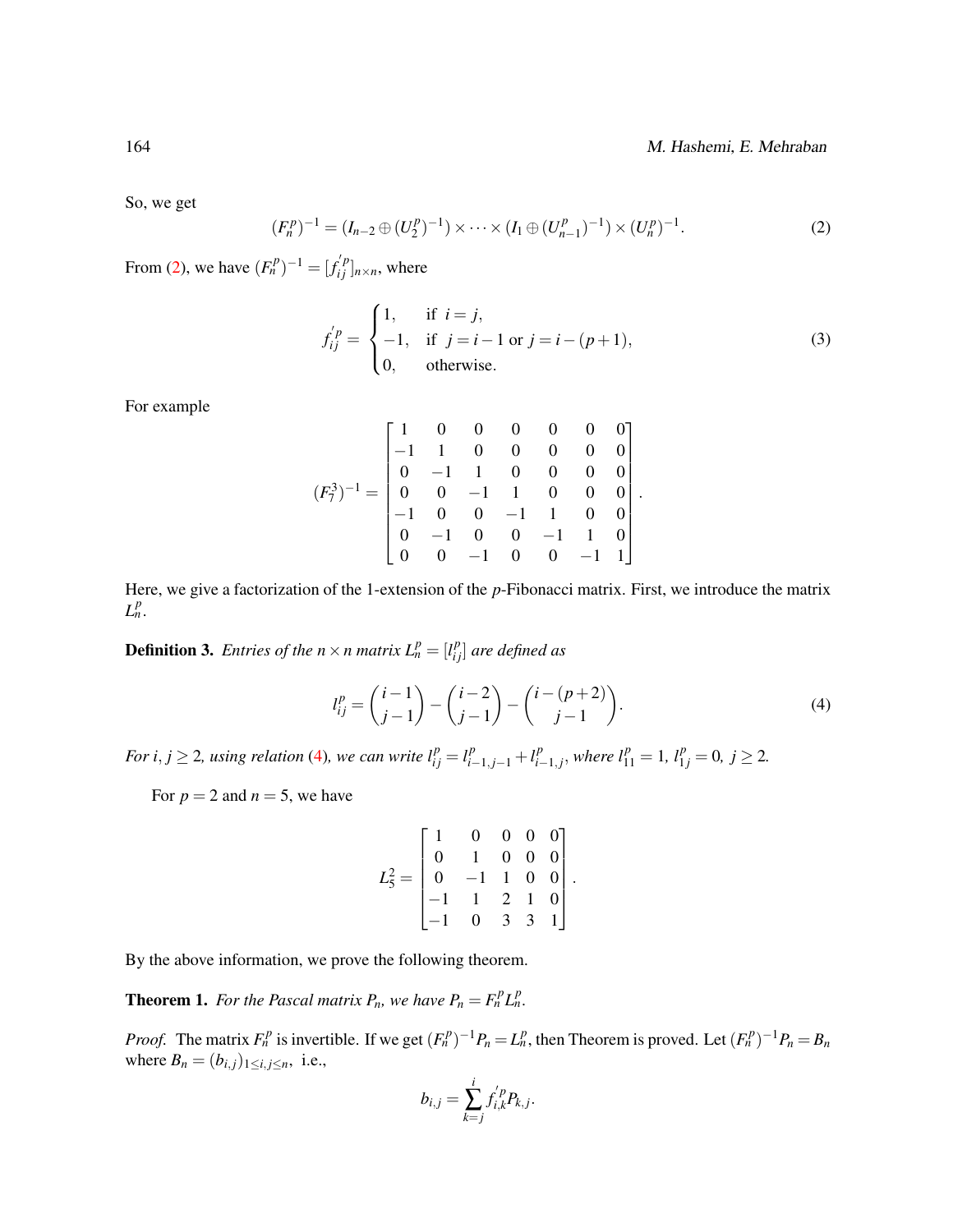So, we get

<span id="page-3-0"></span>
$$
(F_n^p)^{-1} = (I_{n-2} \oplus (U_2^p)^{-1}) \times \cdots \times (I_1 \oplus (U_{n-1}^p)^{-1}) \times (U_n^p)^{-1}.
$$
 (2)

From [\(2\)](#page-3-0), we have  $(F_n^p)^{-1} = [f_{ij}^{'p}]_{n \times n}$ , where

<span id="page-3-3"></span>
$$
f_{ij}^{'p} = \begin{cases} 1, & \text{if } i = j, \\ -1, & \text{if } j = i - 1 \text{ or } j = i - (p + 1), \\ 0, & \text{otherwise.} \end{cases}
$$
(3)

.

For example

$$
(F_7^3)^{-1} = \begin{bmatrix} 1 & 0 & 0 & 0 & 0 & 0 & 0 \\ -1 & 1 & 0 & 0 & 0 & 0 & 0 \\ 0 & -1 & 1 & 0 & 0 & 0 & 0 \\ 0 & 0 & -1 & 1 & 0 & 0 & 0 \\ -1 & 0 & 0 & -1 & 1 & 0 & 0 \\ 0 & -1 & 0 & 0 & -1 & 1 & 0 \\ 0 & 0 & -1 & 0 & 0 & -1 & 1 \end{bmatrix}
$$

Here, we give a factorization of the 1-extension of the *p*-Fibonacci matrix. First, we introduce the matrix  $L_n^p$ .

**Definition 3.** *Entries of the n*  $\times$  *n matrix*  $L_n^p = [l_{ij}^p]$  *are defined as* 

<span id="page-3-1"></span>
$$
l_{ij}^{p} = {i-1 \choose j-1} - {i-2 \choose j-1} - {i-(p+2) \choose j-1}.
$$
 (4)

*For i, j*  $\geq$  2*, using relation* [\(4\)](#page-3-1)*, we can write*  $l_{ij}^p = l_{i-1,j-1}^p + l_{i-1}^p$  $l_{i-1,j}^p$ , where  $l_{11}^p = 1$ ,  $l_{1j}^p = 0$ ,  $j \ge 2$ .

For  $p = 2$  and  $n = 5$ , we have

$$
L_5^2 = \begin{bmatrix} 1 & 0 & 0 & 0 & 0 \\ 0 & 1 & 0 & 0 & 0 \\ 0 & -1 & 1 & 0 & 0 \\ -1 & 1 & 2 & 1 & 0 \\ -1 & 0 & 3 & 3 & 1 \end{bmatrix}.
$$

By the above information, we prove the following theorem.

<span id="page-3-2"></span>**Theorem 1.** For the Pascal matrix  $P_n$ , we have  $P_n = F_n^p L_n^p$ .

*Proof.* The matrix  $F_n^p$  is invertible. If we get  $(F_n^p)^{-1}P_n = L_n^p$ , then Theorem is proved. Let  $(F_n^p)^{-1}P_n = B_n$ where  $B_n = (b_{i,j})_{1 \le i,j \le n}$ , i.e.,

$$
b_{i,j}=\sum_{k=j}^i f'_{i,k}^p P_{k,j}.
$$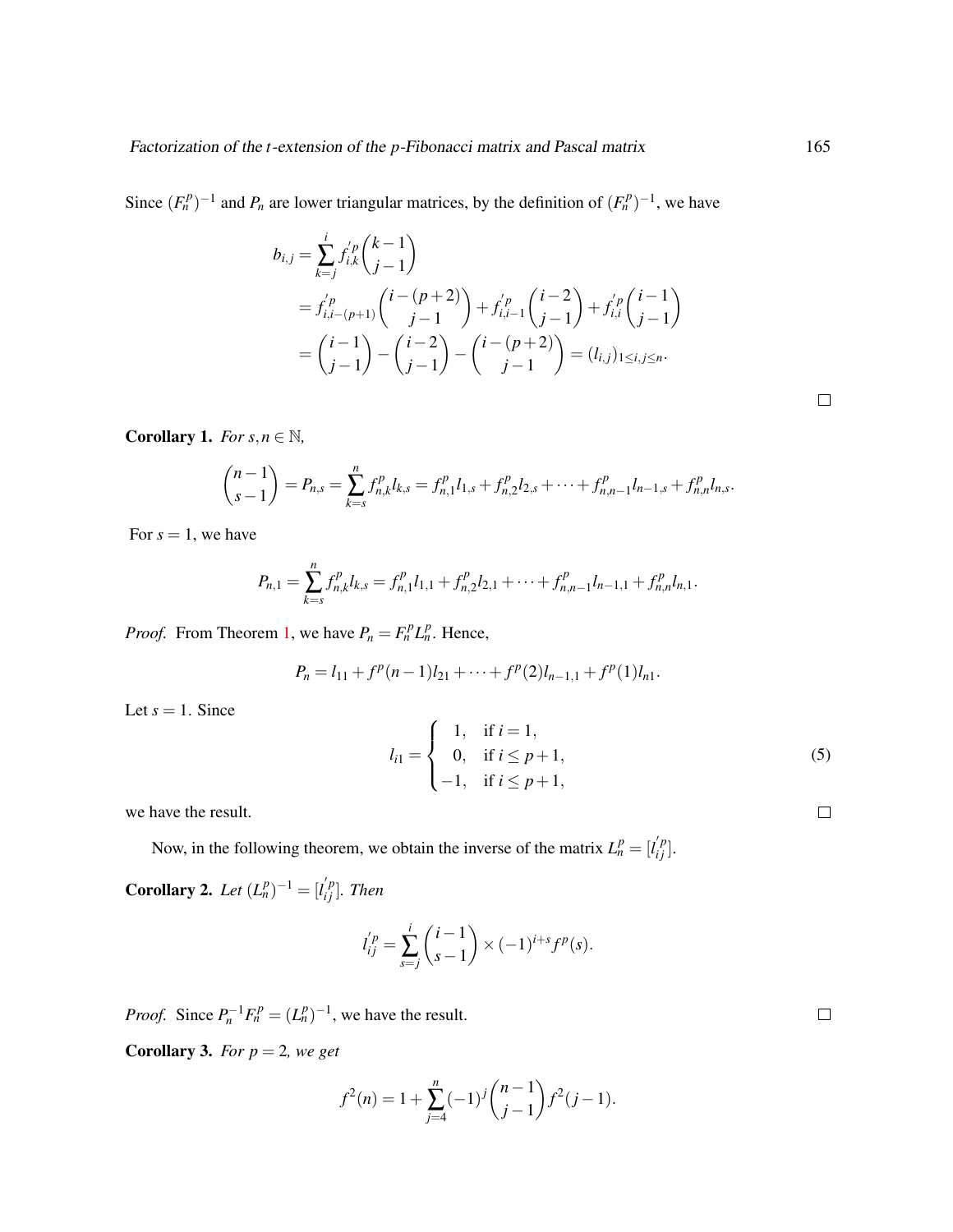Since  $(F_n^p)^{-1}$  and  $P_n$  are lower triangular matrices, by the definition of  $(F_n^p)^{-1}$ , we have

$$
b_{i,j} = \sum_{k=j}^{i} f_{i,k}^{'p} {k-1 \choose j-1}
$$
  
=  $f_{i,i-(p+1)}^{'p} {i-(p+2) \choose j-1} + f_{i,i-1}^{'p} {i-2 \choose j-1} + f_{i,i}^{'p} {i-1 \choose j-1}$   
=  ${i-1 \choose j-1} - {i-2 \choose j-1} - {i-(p+2) \choose j-1} = (l_{i,j})_{1 \le i,j \le n}.$ 

**Corollary 1.** *For*  $s, n \in \mathbb{N}$ *,* 

$$
\binom{n-1}{s-1}=P_{n,s}=\sum_{k=s}^n f_{n,k}^p l_{k,s}=f_{n,1}^p l_{1,s}+f_{n,2}^p l_{2,s}+\cdots+f_{n,n-1}^p l_{n-1,s}+f_{n,n}^p l_{n,s}.
$$

For  $s = 1$ , we have

$$
P_{n,1} = \sum_{k=s}^{n} f_{n,k}^{p} l_{k,s} = f_{n,1}^{p} l_{1,1} + f_{n,2}^{p} l_{2,1} + \cdots + f_{n,n-1}^{p} l_{n-1,1} + f_{n,n}^{p} l_{n,1}.
$$

*Proof.* From Theorem [1,](#page-3-2) we have  $P_n = F_n^p L_n^p$ . Hence,

$$
P_n = l_{11} + f^p(n-1)l_{21} + \cdots + f^p(2)l_{n-1,1} + f^p(1)l_{n1}.
$$

Let  $s = 1$ . Since

$$
l_{i1} = \begin{cases} 1, & \text{if } i = 1, \\ 0, & \text{if } i \le p+1, \\ -1, & \text{if } i \le p+1, \end{cases}
$$
 (5)

we have the result.

Now, in the following theorem, we obtain the inverse of the matrix  $L_n^p = [l'_{ij}]$ .

<span id="page-4-0"></span>**Corollary 2.** Let  $(L_n^p)^{-1} = [l'_{ij}]$ . Then

$$
l_{ij}^{'p} = \sum_{s=j}^{i} {i-1 \choose s-1} \times (-1)^{i+s} f^{p}(s).
$$

*Proof.* Since  $P_n^{-1}F_n^p = (L_n^p)^{-1}$ , we have the result.

**Corollary 3.** *For*  $p = 2$ *, we get* 

$$
f^{2}(n) = 1 + \sum_{j=4}^{n} (-1)^{j} {n-1 \choose j-1} f^{2}(j-1).
$$

 $\Box$ 

 $\Box$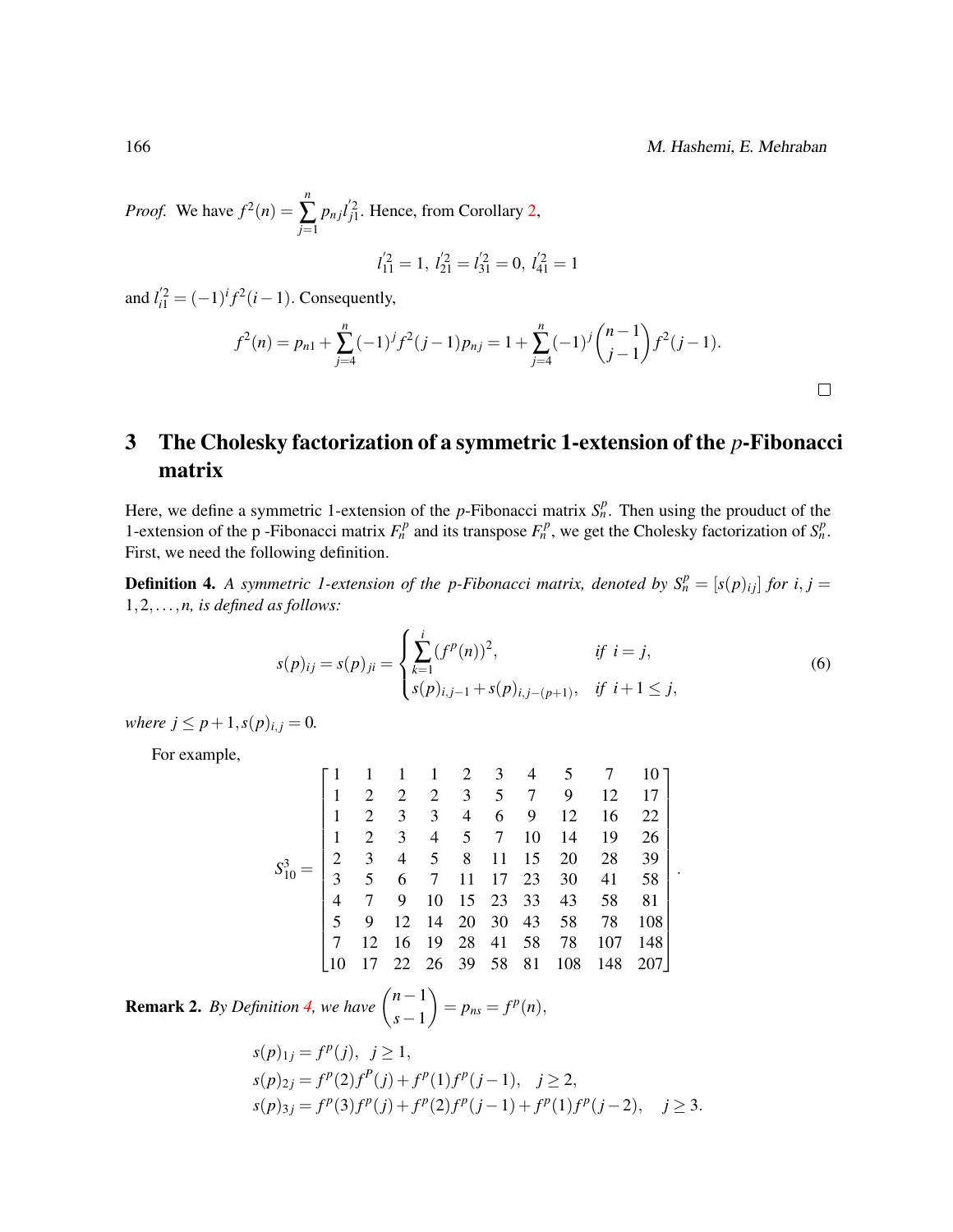*Proof.* We have  $f^2(n) =$ *n* ∑ *j*=1  $p_{nj}l_{j1}^{'2}$ . Hence, from Corollary [2,](#page-4-0)

$$
l_{11}^{'2} = 1, l_{21}^{'2} = l_{31}^{'2} = 0, l_{41}^{'2} = 1
$$

and  $l'_{i1} = (-1)^{i} f^{2} (i - 1)$ . Consequently,

$$
f^{2}(n) = p_{n1} + \sum_{j=4}^{n} (-1)^{j} f^{2}(j-1) p_{nj} = 1 + \sum_{j=4}^{n} (-1)^{j} {n-1 \choose j-1} f^{2}(j-1).
$$

## <span id="page-5-0"></span>3 The Cholesky factorization of a symmetric 1-extension of the *p*-Fibonacci matrix

Here, we define a symmetric 1-extension of the *p*-Fibonacci matrix  $S_n^p$ . Then using the prouduct of the 1-extension of the p-Fibonacci matrix  $F_n^p$  and its transpose  $F_n^p$ , we get the Cholesky factorization of  $S_n^p$ . First, we need the following definition.

<span id="page-5-1"></span>**Definition 4.** A symmetric 1-extension of the p-Fibonacci matrix, denoted by  $S_n^p = [s(p)_{ij}]$  for  $i, j =$ 1,2,...,*n, is defined as follows:*

$$
s(p)_{ij} = s(p)_{ji} = \begin{cases} \sum_{k=1}^{i} (f^p(n))^2, & \text{if } i = j, \\ s(p)_{i,j-1} + s(p)_{i,j-(p+1)}, & \text{if } i+1 \le j, \end{cases}
$$
(6)

*where*  $j \leq p+1$ ,  $s(p)_{i,j} = 0$ .

For example,

$$
S_{10}^3 = \begin{bmatrix} 1 & 1 & 1 & 1 & 2 & 3 & 4 & 5 & 7 & 10 \\ 1 & 2 & 2 & 2 & 3 & 5 & 7 & 9 & 12 & 17 \\ 1 & 2 & 3 & 3 & 4 & 6 & 9 & 12 & 16 & 22 \\ 1 & 2 & 3 & 4 & 5 & 7 & 10 & 14 & 19 & 26 \\ 2 & 3 & 4 & 5 & 8 & 11 & 15 & 20 & 28 & 39 \\ 3 & 5 & 6 & 7 & 11 & 17 & 23 & 30 & 41 & 58 \\ 4 & 7 & 9 & 10 & 15 & 23 & 33 & 43 & 58 & 81 \\ 5 & 9 & 12 & 14 & 20 & 30 & 43 & 58 & 78 & 108 \\ 7 & 12 & 16 & 19 & 28 & 41 & 58 & 78 & 107 & 148 \\ 10 & 17 & 22 & 26 & 39 & 58 & 81 & 108 & 148 & 207 \end{bmatrix}.
$$

**Remark 2.** *By Definition [4,](#page-5-1) we have*  $\binom{n-1}{n}$ *s*−1  $= p_{ns} = f^p(n),$ 

$$
s(p)_{1j} = f^{p}(j), \ j \ge 1,
$$
  
\n
$$
s(p)_{2j} = f^{p}(2)f^{p}(j) + f^{p}(1)f^{p}(j-1), \ j \ge 2,
$$
  
\n
$$
s(p)_{3j} = f^{p}(3)f^{p}(j) + f^{p}(2)f^{p}(j-1) + f^{p}(1)f^{p}(j-2), \ j \ge 3.
$$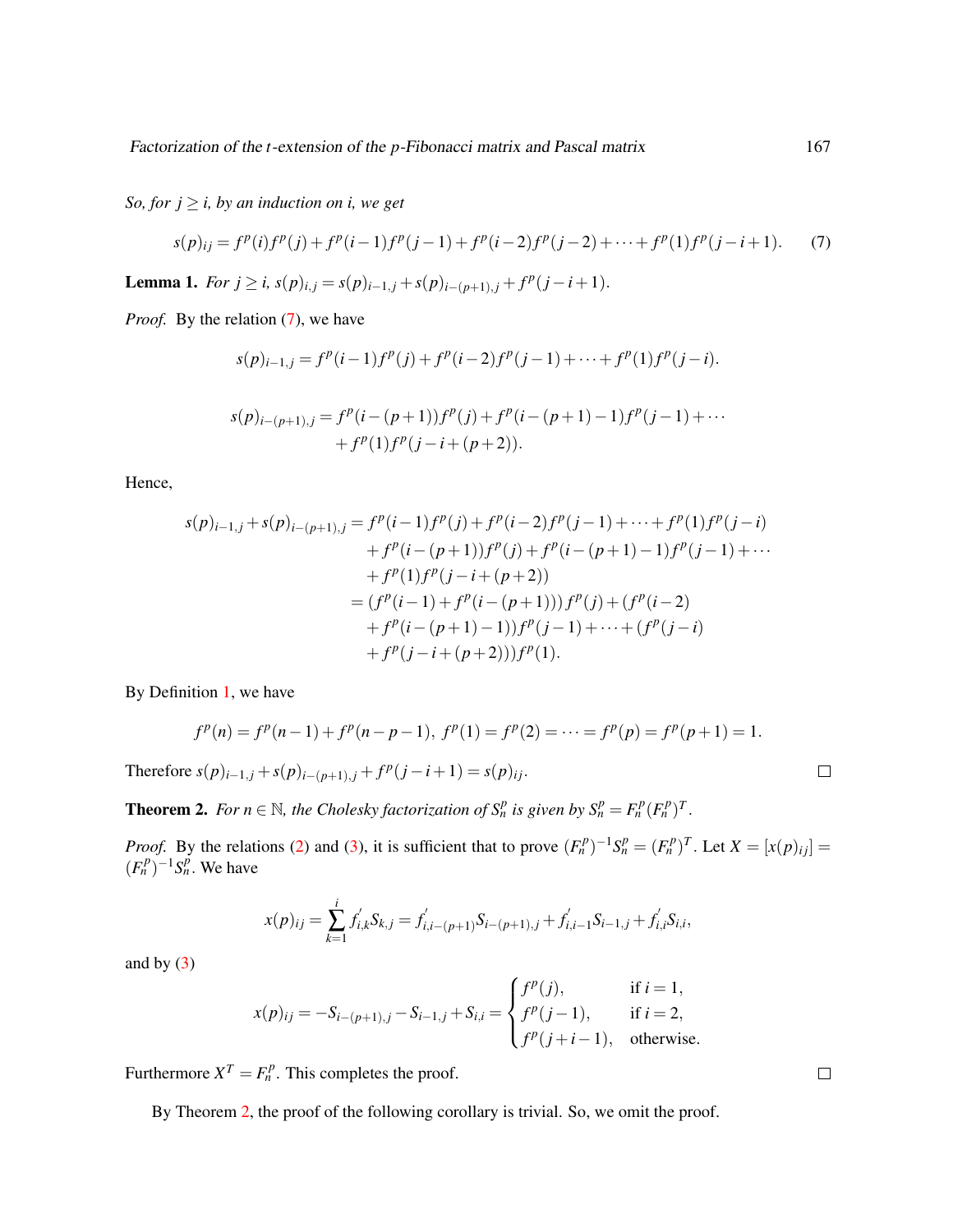*So, for*  $j \geq i$ *, by an induction on i, we get* 

<span id="page-6-0"></span>
$$
s(p)_{ij} = f^p(i)f^p(j) + f^p(i-1)f^p(j-1) + f^p(i-2)f^p(j-2) + \dots + f^p(1)f^p(j-i+1).
$$
 (7)

**Lemma 1.** *For j* ≥ *i*, *s*(*p*)<sub>*i*</sub>,*j* = *s*(*p*)<sub>*i*-1,*j*</sub> + *s*(*p*)<sub>*i*-(*p*+1),*j* + *f*<sup>*p*</sup>(*j* − *i* + 1).</sub>

*Proof.* By the relation [\(7\)](#page-6-0), we have

$$
s(p)_{i-1,j} = f^p(i-1)f^p(j) + f^p(i-2)f^p(j-1) + \dots + f^p(1)f^p(j-i).
$$
  

$$
s(p)_{i-(p+1),j} = f^p(i-(p+1))f^p(j) + f^p(i-(p+1)-1)f^p(j-1) + \dots + f^p(1)f^p(j-i+(p+2)).
$$

Hence,

$$
s(p)_{i-1,j} + s(p)_{i-(p+1),j} = f^p(i-1)f^p(j) + f^p(i-2)f^p(j-1) + \dots + f^p(1)f^p(j-i)
$$
  
+  $f^p(i-(p+1))f^p(j) + f^p(i-(p+1)-1)f^p(j-1) + \dots$   
+  $f^p(1)f^p(j-i+(p+2))$   
=  $(f^p(i-1) + f^p(i-(p+1)))f^p(j) + (f^p(i-2))$   
+  $f^p(i-(p+1)-1))f^p(j-1) + \dots + (f^p(j-i))$   
+  $f^p(j-i+(p+2)))f^p(1).$ 

By Definition [1,](#page-1-0) we have

$$
f^{p}(n) = f^{p}(n-1) + f^{p}(n-p-1), \ f^{p}(1) = f^{p}(2) = \cdots = f^{p}(p) = f^{p}(p+1) = 1.
$$

Therefore  $s(p)_{i-1,j} + s(p)_{i-(p+1),j} + f^p(j-i+1) = s(p)_{ij}$ .

<span id="page-6-1"></span>**Theorem 2.** For  $n \in \mathbb{N}$ , the Cholesky factorization of  $S_n^p$  is given by  $S_n^p = F_n^p (F_n^p)^T$ .

*Proof.* By the relations [\(2\)](#page-3-0) and [\(3\)](#page-3-3), it is sufficient that to prove  $(F_n^p)^{-1}S_n^p = (F_n^p)^T$ . Let  $X = [x(p)_{ij}] =$  $(F_n^p)^{-1} S_n^p$ . We have

$$
x(p)_{ij} = \sum_{k=1}^{i} f'_{i,k} S_{k,j} = f'_{i,i-(p+1)} S_{i-(p+1),j} + f'_{i,i-1} S_{i-1,j} + f'_{i,i} S_{i,i},
$$

and by  $(3)$ 

$$
x(p)_{ij} = -S_{i-(p+1),j} - S_{i-1,j} + S_{i,i} = \begin{cases} f^p(j), & \text{if } i = 1, \\ f^p(j-1), & \text{if } i = 2, \\ f^p(j+i-1), & \text{otherwise.} \end{cases}
$$

Furthermore  $X^T = F_n^p$ . This completes the proof.

By Theorem [2,](#page-6-1) the proof of the following corollary is trivial. So, we omit the proof.

 $\Box$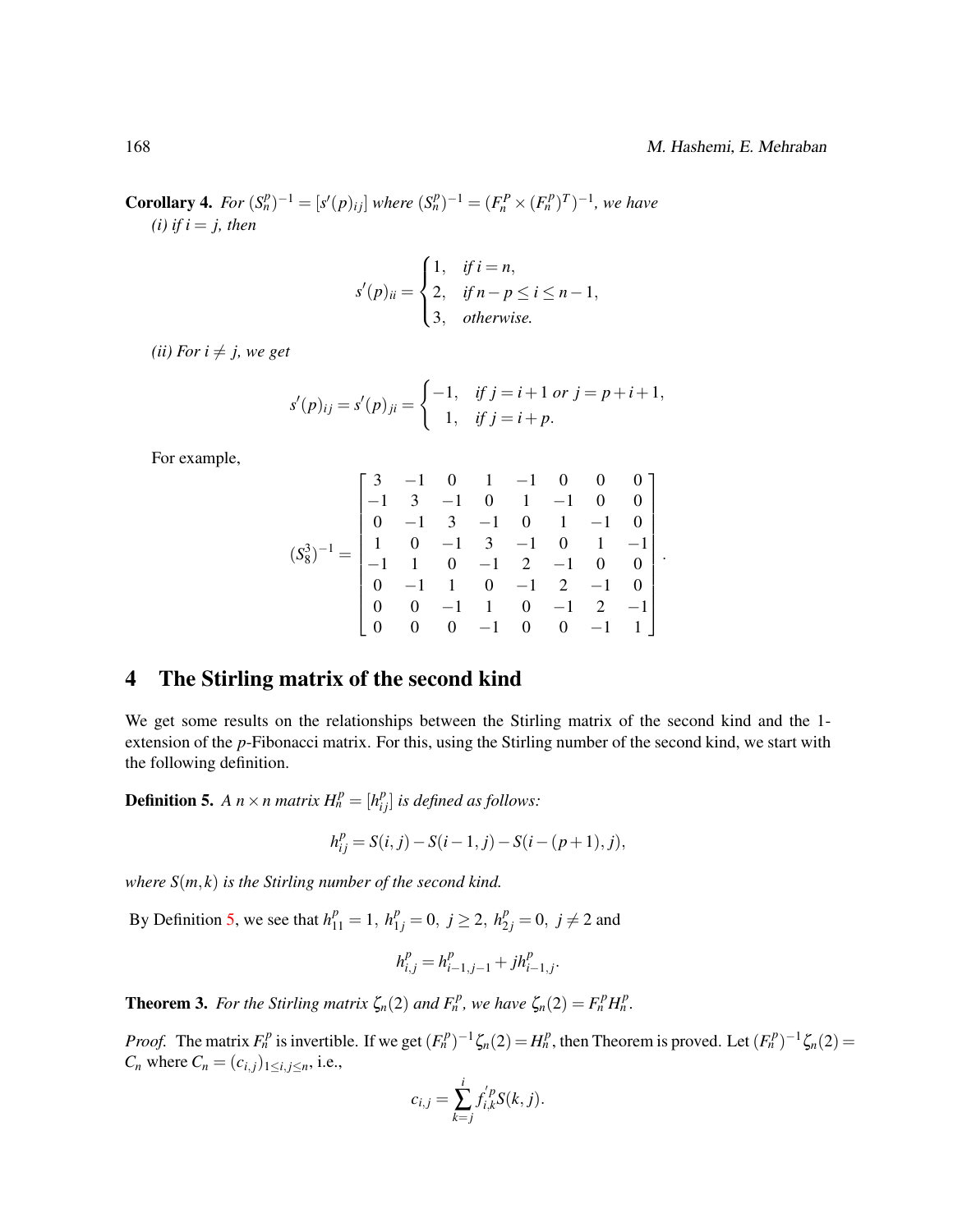**Corollary 4.** For  $(S_n^p)^{-1} = [s'(p)_{ij}]$  where  $(S_n^p)^{-1} = (F_n^P \times (F_n^P)^T)^{-1}$ , we have  $(i)$  *if i* = *j*, *then* 

$$
s'(p)_{ii} = \begin{cases} 1, & if i = n, \\ 2, & if n - p \le i \le n - 1, \\ 3, & otherwise. \end{cases}
$$

*(ii) For*  $i \neq j$ *, we get* 

$$
s'(p)_{ij} = s'(p)_{ji} = \begin{cases} -1, & \text{if } j = i+1 \text{ or } j = p+i+1, \\ 1, & \text{if } j = i+p. \end{cases}
$$

For example,

$$
(S_8^3)^{-1} = \begin{bmatrix} 3 & -1 & 0 & 1 & -1 & 0 & 0 & 0 \\ -1 & 3 & -1 & 0 & 1 & -1 & 0 & 0 \\ 0 & -1 & 3 & -1 & 0 & 1 & -1 & 0 \\ 1 & 0 & -1 & 3 & -1 & 0 & 1 & -1 \\ -1 & 1 & 0 & -1 & 2 & -1 & 0 & 0 \\ 0 & -1 & 1 & 0 & -1 & 2 & -1 & 0 \\ 0 & 0 & -1 & 1 & 0 & -1 & 2 & -1 \\ 0 & 0 & 0 & -1 & 0 & 0 & -1 & 1 \end{bmatrix}.
$$

### <span id="page-7-0"></span>4 The Stirling matrix of the second kind

We get some results on the relationships between the Stirling matrix of the second kind and the 1 extension of the *p*-Fibonacci matrix. For this, using the Stirling number of the second kind, we start with the following definition.

<span id="page-7-1"></span>**Definition 5.** A  $n \times n$  matrix  $H_n^p = [h_{ij}^p]$  is defined as follows:

$$
h_{ij}^p = S(i, j) - S(i - 1, j) - S(i - (p + 1), j),
$$

*where S*(*m*, *k*) *is the Stirling number of the second kind.*

By Definition [5,](#page-7-1) we see that  $h_{11}^p = 1$ ,  $h_{1j}^p = 0$ ,  $j \ge 2$ ,  $h_{2j}^p = 0$ ,  $j \ne 2$  and

$$
h_{i,j}^p = h_{i-1,j-1}^p + j h_{i-1,j}^p.
$$

**Theorem 3.** For the Stirling matrix  $\zeta_n(2)$  and  $F_n^p$ , we have  $\zeta_n(2) = F_n^p H_n^p$ .

*Proof.* The matrix  $F_n^p$  is invertible. If we get  $(F_n^p)^{-1} \zeta_n(2) = H_n^p$ , then Theorem is proved. Let  $(F_n^p)^{-1} \zeta_n(2) =$ *C<sub>n</sub>* where  $C_n = (c_{i,j})_{1 \le i,j \le n}$ , i.e.,

$$
c_{i,j} = \sum_{k=j}^{i} f'_{i,k} S(k, j).
$$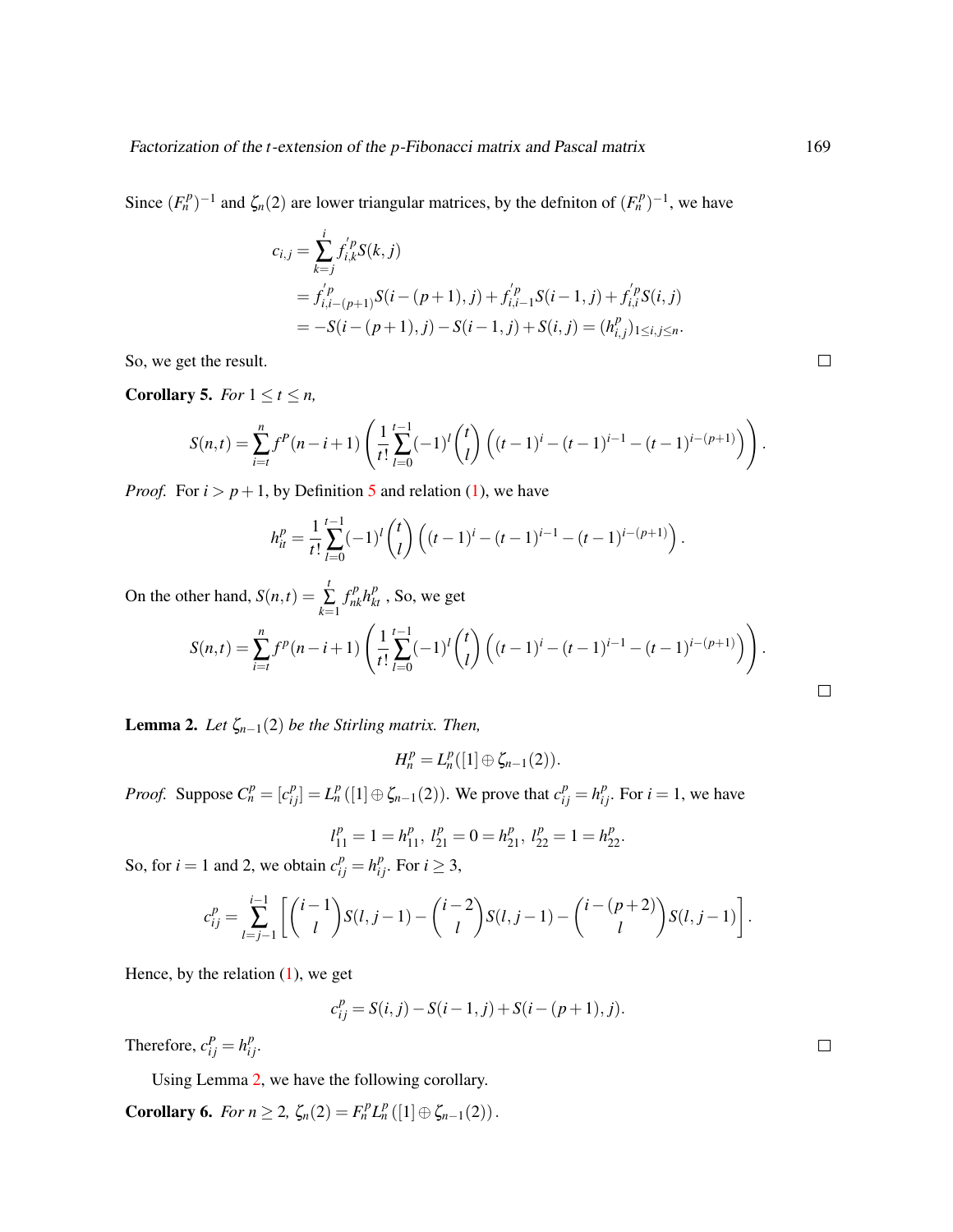Since  $(F_n^p)^{-1}$  and  $\zeta_n(2)$  are lower triangular matrices, by the definiton of  $(F_n^p)^{-1}$ , we have

$$
c_{i,j} = \sum_{k=j}^{i} f_{i,k}^{j} S(k, j)
$$
  
=  $f_{i,i-(p+1)}^{j} S(i-(p+1), j) + f_{i,i-1}^{j} S(i-1, j) + f_{i,i}^{j} S(i, j)$   
=  $-S(i-(p+1), j) - S(i-1, j) + S(i, j) = (h_{i,j}^{p})_{1 \le i,j \le n}.$ 

So, we get the result.

**Corollary 5.** *For*  $1 \le t \le n$ ,

$$
S(n,t) = \sum_{i=t}^{n} f^{P}(n-i+1) \left( \frac{1}{t!} \sum_{l=0}^{t-1} (-1)^{l} {t \choose l} \left( (t-1)^{i} - (t-1)^{i-1} - (t-1)^{i-(p+1)} \right) \right).
$$

*Proof.* For  $i > p + 1$ , by Definition [5](#page-7-1) and relation [\(1\)](#page-1-1), we have

$$
h_{it}^{p} = \frac{1}{t!} \sum_{l=0}^{t-1} (-1)^{l} {t \choose l} \left( (t-1)^{i} - (t-1)^{i-1} - (t-1)^{i-(p+1)} \right).
$$

On the other hand,  $S(n,t) = \sum_{i=1}^{t}$ ∑ *k*=1  $f_{nk}^p h_{kt}^p$ , So, we get

$$
S(n,t) = \sum_{i=t}^{n} f^{p}(n-i+1) \left( \frac{1}{t!} \sum_{l=0}^{t-1} (-1)^{l} {t \choose l} \left( (t-1)^{i} - (t-1)^{i-1} - (t-1)^{i-(p+1)} \right) \right).
$$

<span id="page-8-0"></span>**Lemma 2.** *Let*  $\zeta_{n-1}(2)$  *be the Stirling matrix. Then,* 

 $H_n^p = L_n^p([1] \oplus \zeta_{n-1}(2)).$ 

*Proof.* Suppose  $C_n^p = [c_{ij}^p] = L_n^p([1] \oplus \zeta_{n-1}(2))$ . We prove that  $c_{ij}^p = h_{ij}^p$ . For  $i = 1$ , we have

$$
l_{11}^p=1=h_{11}^p, \ l_{21}^p=0=h_{21}^p, \ l_{22}^p=1=h_{22}^p.
$$

So, for *i* = 1 and 2, we obtain  $c_{ij}^p = h_{ij}^p$ . For *i*  $\geq 3$ ,

$$
c_{ij}^p = \sum_{l=j-1}^{i-1} \left[ \binom{i-1}{l} S(l, j-1) - \binom{i-2}{l} S(l, j-1) - \binom{i-(p+2)}{l} S(l, j-1) \right].
$$

Hence, by the relation  $(1)$ , we get

$$
c_{ij}^{p} = S(i, j) - S(i - 1, j) + S(i - (p + 1), j).
$$

Therefore,  $c_{ij}^P = h_{ij}^p$ .

Using Lemma [2,](#page-8-0) we have the following corollary.

**Corollary 6.** *For n*  $\geq 2$ ,  $\zeta_n(2) = F_n^p L_n^p([1] \oplus \zeta_{n-1}(2)).$ 

 $\Box$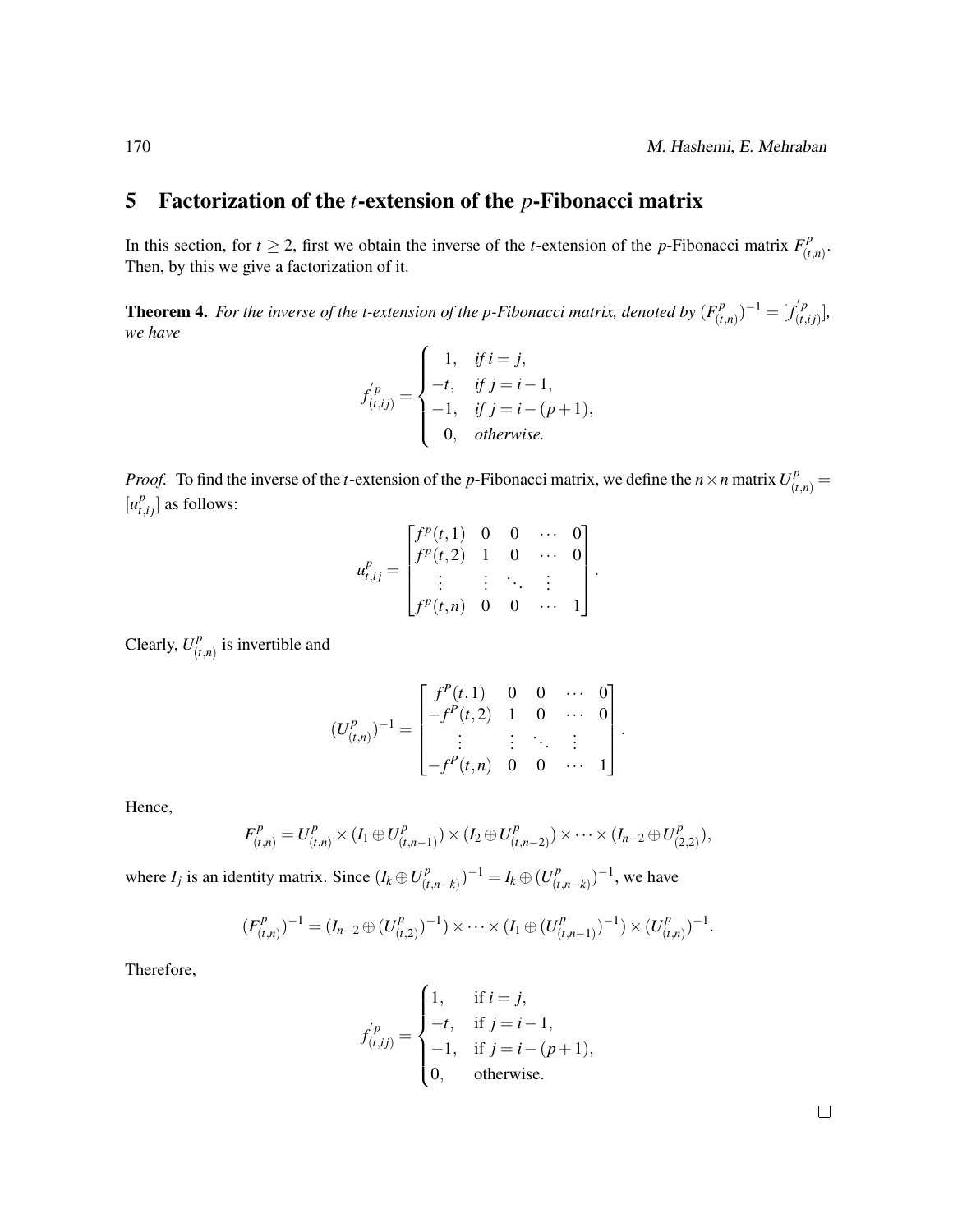#### <span id="page-9-0"></span>5 Factorization of the *t*-extension of the *p*-Fibonacci matrix

In this section, for  $t \ge 2$ , first we obtain the inverse of the *t*-extension of the *p*-Fibonacci matrix  $F_{(t)}^p$ (*t*,*n*) . Then, by this we give a factorization of it.

**Theorem 4.** For the inverse of the t-extension of the p-Fibonacci matrix, denoted by  $(F_i^p)$  $(f_{(t,n)}^p)^{-1} = [f_{(t,n)}^{'p}]$  $\binom{p}{(t,ij)}$ , *we have*

$$
f'_{(t,ij)} = \begin{cases} 1, & \text{if } i = j, \\ -t, & \text{if } j = i - 1, \\ -1, & \text{if } j = i - (p + 1), \\ 0, & \text{otherwise.} \end{cases}
$$

*Proof.* To find the inverse of the *t*-extension of the *p*-Fibonacci matrix, we define the *n* × *n* matrix  $U_{(t,n)}^p =$  $[u_{t,ij}^p]$  as follows:

$$
u_{t,ij}^{p} = \begin{bmatrix} f^{p}(t,1) & 0 & 0 & \cdots & 0 \\ f^{p}(t,2) & 1 & 0 & \cdots & 0 \\ \vdots & \vdots & \ddots & \vdots \\ f^{p}(t,n) & 0 & 0 & \cdots & 1 \end{bmatrix}
$$

.

Clearly,  $U_{i}^{p}$  $\binom{p}{(t,n)}$  is invertible and

$$
(U_{(t,n)}^p)^{-1} = \begin{bmatrix} f^P(t,1) & 0 & 0 & \cdots & 0 \\ -f^P(t,2) & 1 & 0 & \cdots & 0 \\ \vdots & \vdots & \ddots & \vdots \\ -f^P(t,n) & 0 & 0 & \cdots & 1 \end{bmatrix}.
$$

Hence,

$$
F_{(t,n)}^p = U_{(t,n)}^p \times (I_1 \oplus U_{(t,n-1)}^p) \times (I_2 \oplus U_{(t,n-2)}^p) \times \cdots \times (I_{n-2} \oplus U_{(2,2)}^p),
$$

where  $I_j$  is an identity matrix. Since  $(I_k \oplus U_{i}^p)$  $(I_{(t,n-k)}^p)^{-1} = I_k \oplus (U_{(t)}^p)$  $(\binom{p}{t,n-k})^{-1}$ , we have

$$
(F_{(t,n)}^p)^{-1} = (I_{n-2} \oplus (U_{(t,2)}^p)^{-1}) \times \cdots \times (I_1 \oplus (U_{(t,n-1)}^p)^{-1}) \times (U_{(t,n)}^p)^{-1}.
$$

Therefore,

$$
f_{(t,ij)}^{'p} = \begin{cases} 1, & \text{if } i = j, \\ -t, & \text{if } j = i - 1, \\ -1, & \text{if } j = i - (p + 1), \\ 0, & \text{otherwise.} \end{cases}
$$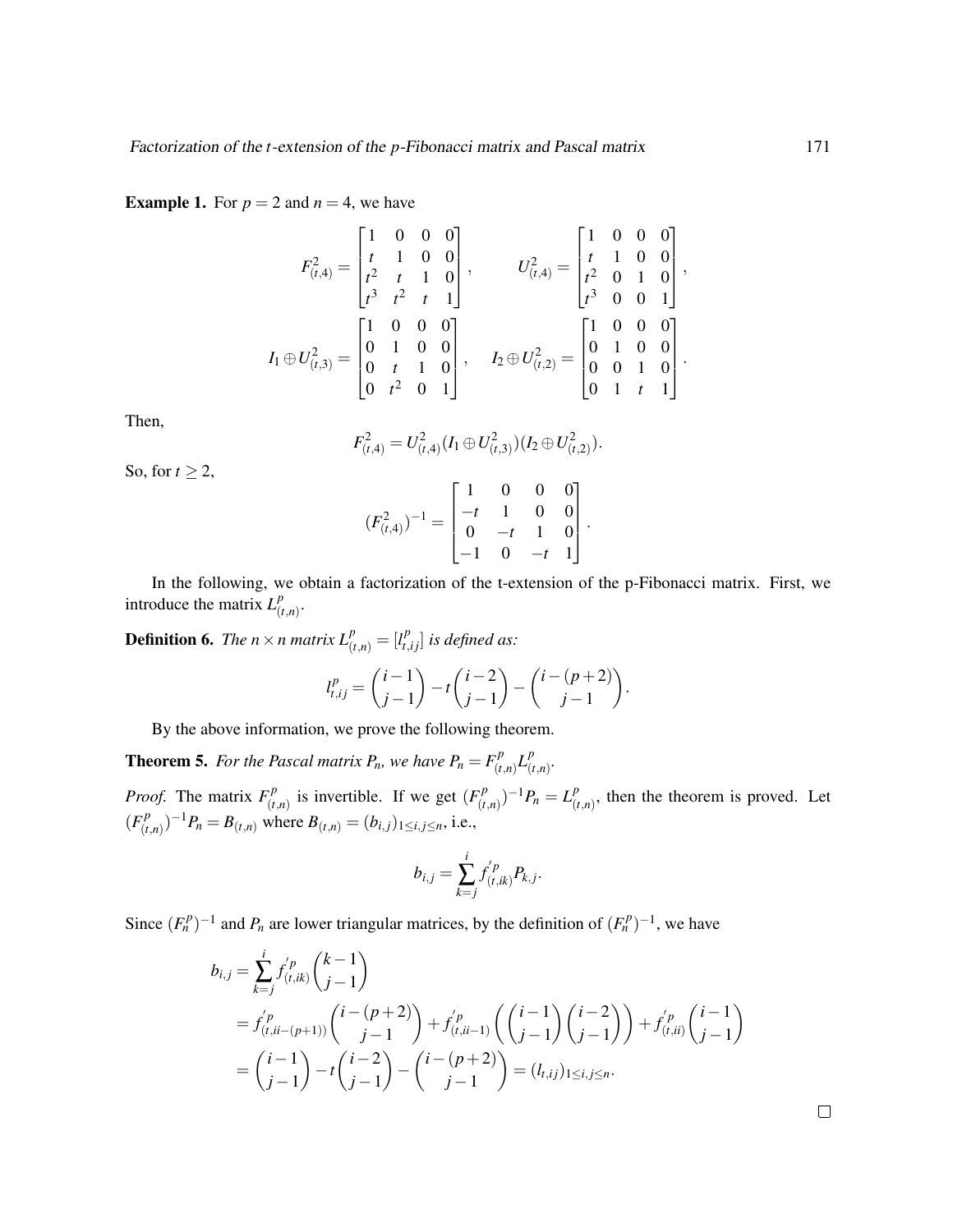**Example 1.** For  $p = 2$  and  $n = 4$ , we have

$$
F_{(t,4)}^2 = \begin{bmatrix} 1 & 0 & 0 & 0 \\ t & 1 & 0 & 0 \\ t^2 & t & 1 & 0 \\ t^3 & t^2 & t & 1 \end{bmatrix}, \qquad U_{(t,4)}^2 = \begin{bmatrix} 1 & 0 & 0 & 0 \\ t & 1 & 0 & 0 \\ t^2 & 0 & 1 & 0 \\ t^3 & 0 & 0 & 1 \end{bmatrix},
$$

$$
I_1 \oplus U_{(t,3)}^2 = \begin{bmatrix} 1 & 0 & 0 & 0 \\ 0 & 1 & 0 & 0 \\ 0 & t & 1 & 0 \\ 0 & t^2 & 0 & 1 \end{bmatrix}, \qquad I_2 \oplus U_{(t,2)}^2 = \begin{bmatrix} 1 & 0 & 0 & 0 \\ 0 & 1 & 0 & 0 \\ 0 & 0 & 1 & 0 \\ 0 & 1 & t & 1 \end{bmatrix}.
$$

Then,

$$
F_{(t,4)}^2 = U_{(t,4)}^2 (I_1 \oplus U_{(t,3)}^2) (I_2 \oplus U_{(t,2)}^2).
$$

So, for  $t \geq 2$ ,

$$
(F_{(t,4)}^2)^{-1} = \begin{bmatrix} 1 & 0 & 0 & 0 \\ -t & 1 & 0 & 0 \\ 0 & -t & 1 & 0 \\ -1 & 0 & -t & 1 \end{bmatrix}.
$$

In the following, we obtain a factorization of the t-extension of the p-Fibonacci matrix. First, we introduce the matrix  $L_l^p$ (*t*,*n*) .

**Definition 6.** *The n*  $\times$  *n matrix*  $L_{(t,n)}^p = [l_{t,ij}^p]$  *is defined as:* 

$$
l_{t,ij}^p = {i-1 \choose j-1} - t {i-2 \choose j-1} - {i-(p+2) \choose j-1}.
$$

By the above information, we prove the following theorem.

**Theorem 5.** For the Pascal matrix  $P_n$ , we have  $P_n = F_{(t)}^p$  $(L_{(t,n)}^p L_{(t)}^p)$ (*t*,*n*) *. Proof.* The matrix  $F^p_{(t)}$  $(r^n_{(t,n)})$  is invertible. If we get  $(F_{(t,n)}^p)$  $(L_{(t,n)}^p)^{-1}P_n = L_{(t)}^p$  $^{p}_{(t,n)}$ , then the theorem is proved. Let  $(F_{i}^{p})$  $(B_{(t,n)}^p)^{-1}P_n = B_{(t,n)}$  where  $B_{(t,n)} = (b_{i,j})_{1 \le i,j \le n}$ , i.e.,

$$
b_{i,j} = \sum_{k=j}^{i} f_{(t,ik)}^{'p} P_{k,j}.
$$

Since  $(F_n^p)^{-1}$  and  $P_n$  are lower triangular matrices, by the definition of  $(F_n^p)^{-1}$ , we have

$$
b_{i,j} = \sum_{k=j}^{i} f_{(t,ik)}^{p} {k-1 \choose j-1}
$$
  
=  $f_{(t,ii-(p+1))}^{p} {i-(p+2) \choose j-1} + f_{(t,ii-1)}^{p} {i-1 \choose j-1} {i-2 \choose j-1} + f_{(t,ii)}^{p} {i-1 \choose j-1}$   
=  ${i-1 \choose j-1} - t {i-2 \choose j-1} - {i-(p+2) \choose j-1} = (l_{i,ij})_{1 \le i,j \le n}.$